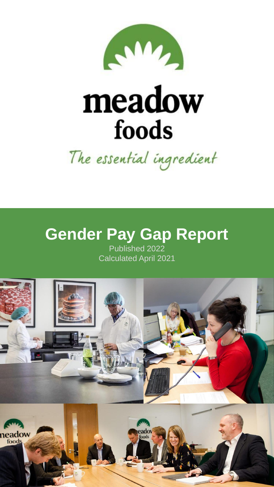

# meadow foods

The essential ingredient

## **Gender Pay Gap Report**

Published 2022 Calculated April 2021

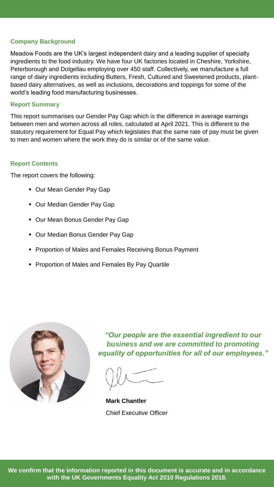#### **Company Background**

Meadow Foods are the UK's largest independent dairy and a leading supplier of specialty ingredients to the food industry. We have four UK factories located in Cheshire, Yorkshire, Peterborough and Dolgellau employing over 450 staff. Collectively, we manufacture a full range of dairy ingredients including Butters, Fresh, Cultured and Sweetened products, plantbased dairy alternatives, as well as inclusions, decorations and toppings for some of the world's leading food manufacturing businesses.

#### **Report Summary**

This report summarises our Gender Pay Gap which is the difference in average earnings between men and women across all roles, calculated at April 2021. This is different to the statutory requirement for Equal Pay which legislates that the same rate of pay must be given to men and women where the work they do is similar or of the same value.

#### **Report Contents**

The report covers the following:

- Our Mean Gender Pay Gap
- Our Median Gender Pay Gap
- Our Mean Bonus Gender Pay Gap
- Our Median Bonus Gender Pay Gap
- Proportion of Males and Females Receiving Bonus Payment
- **Proportion of Males and Females By Pay Quartile**



*"Our people are the essential ingredient to our business and we are committed to promoting equality of opportunities for all of our employees."* 

**Mark Chantler** Chief Executive Officer

**We confirm that the information reported in this document is accurate and in accordance with the UK Governments Equality Act 2010 Regulations 2018.**